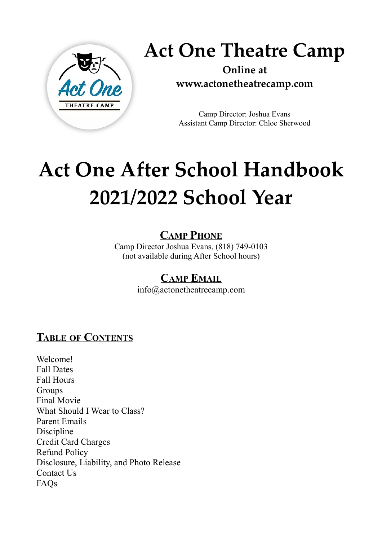

**Act One Theatre Camp**

**Online at www.actonetheatrecamp.com**

Camp Director: Joshua Evans Assistant Camp Director: Chloe Sherwood

# **Act One After School Handbook 2021/2022 School Year**

### **CAMP PHONE**

Camp Director Joshua Evans, (818) 749-0103 (not available during After School hours)

### **CAMP EMAIL**

info@actonetheatrecamp.com

### **TABLE OF CONTENTS**

Welcome! Fall Dates Fall Hours Groups Final Movie What Should I Wear to Class? Parent Emails Discipline Credit Card Charges Refund Policy Disclosure, Liability, and Photo Release Contact Us FAQs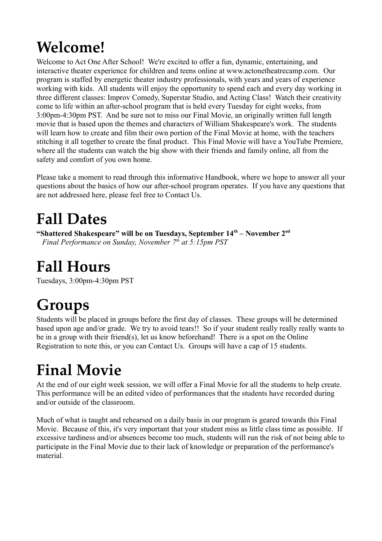### **Welcome!**

Welcome to Act One After School! We're excited to offer a fun, dynamic, entertaining, and interactive theater experience for children and teens online at www.actonetheatrecamp.com. Our program is staffed by energetic theater industry professionals, with years and years of experience working with kids. All students will enjoy the opportunity to spend each and every day working in three different classes: Improv Comedy, Superstar Studio, and Acting Class! Watch their creativity come to life within an after-school program that is held every Tuesday for eight weeks, from 3:00pm-4:30pm PST. And be sure not to miss our Final Movie, an originally written full length movie that is based upon the themes and characters of William Shakespeare's work. The students will learn how to create and film their own portion of the Final Movie at home, with the teachers stitching it all together to create the final product. This Final Movie will have a YouTube Premiere, where all the students can watch the big show with their friends and family online, all from the safety and comfort of you own home.

Please take a moment to read through this informative Handbook, where we hope to answer all your questions about the basics of how our after-school program operates. If you have any questions that are not addressed here, please feel free to Contact Us.

### **Fall Dates**

**"Shattered Shakespeare" will be on Tuesdays, September 14th – November 2nd** *Final Performance on Sunday, November 7th at 5:15pm PST*

### **Fall Hours**

Tuesdays, 3:00pm-4:30pm PST

### **Groups**

Students will be placed in groups before the first day of classes. These groups will be determined based upon age and/or grade. We try to avoid tears!! So if your student really really really wants to be in a group with their friend(s), let us know beforehand! There is a spot on the Online Registration to note this, or you can Contact Us. Groups will have a cap of 15 students.

### **Final Movie**

At the end of our eight week session, we will offer a Final Movie for all the students to help create. This performance will be an edited video of performances that the students have recorded during and/or outside of the classroom.

Much of what is taught and rehearsed on a daily basis in our program is geared towards this Final Movie. Because of this, it's very important that your student miss as little class time as possible. If excessive tardiness and/or absences become too much, students will run the risk of not being able to participate in the Final Movie due to their lack of knowledge or preparation of the performance's material.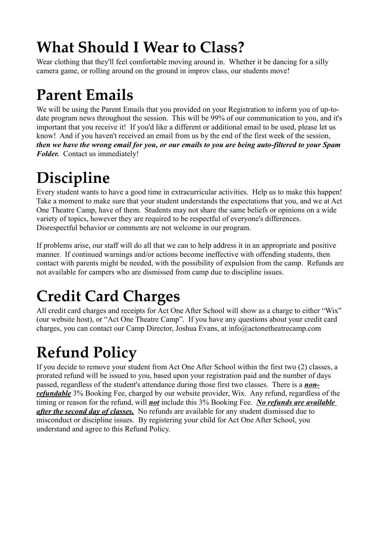### **What Should I Wear to Class?**

Wear clothing that they'll feel comfortable moving around in. Whether it be dancing for a silly camera game, or rolling around on the ground in improv class, our students move!

### **Parent Emails**

We will be using the Parent Emails that you provided on your Registration to inform you of up-todate program news throughout the session. This will be 99% of our communication to you, and it's important that you receive it! If you'd like a different or additional email to be used, please let us know! And if you haven't received an email from us by the end of the first week of the session, *then we have the wrong email for you, or our emails to you are being auto-filtered to your Spam Folder.* Contact us immediately!

## **Discipline**

Every student wants to have a good time in extracurricular activities. Help us to make this happen! Take a moment to make sure that your student understands the expectations that you, and we at Act One Theatre Camp, have of them. Students may not share the same beliefs or opinions on a wide variety of topics, however they are required to be respectful of everyone's differences. Disrespectful behavior or comments are not welcome in our program.

If problems arise, our staff will do all that we can to help address it in an appropriate and positive manner. If continued warnings and/or actions become ineffective with offending students, then contact with parents might be needed, with the possibility of expulsion from the camp. Refunds are not available for campers who are dismissed from camp due to discipline issues.

## **Credit Card Charges**

All credit card charges and receipts for Act One After School will show as a charge to either "Wix" (our website host), or "Act One Theatre Camp". If you have any questions about your credit card charges, you can contact our Camp Director, Joshua Evans, at info@actonetheatrecamp.com

### **Refund Policy**

If you decide to remove your student from Act One After School within the first two (2) classes, a prorated refund will be issued to you, based upon your registration paid and the number of days passed, regardless of the student's attendance during those first two classes. There is a *nonrefundable* 3% Booking Fee, charged by our website provider, Wix. Any refund, regardless of the timing or reason for the refund, will *not* include this 3% Booking Fee. *No refunds are available after the second day of classes.* No refunds are available for any student dismissed due to misconduct or discipline issues. By registering your child for Act One After School, you understand and agree to this Refund Policy.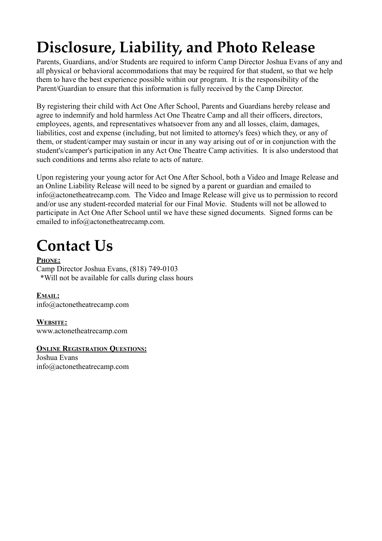## **Disclosure, Liability, and Photo Release**

Parents, Guardians, and/or Students are required to inform Camp Director Joshua Evans of any and all physical or behavioral accommodations that may be required for that student, so that we help them to have the best experience possible within our program. It is the responsibility of the Parent/Guardian to ensure that this information is fully received by the Camp Director.

By registering their child with Act One After School, Parents and Guardians hereby release and agree to indemnify and hold harmless Act One Theatre Camp and all their officers, directors, employees, agents, and representatives whatsoever from any and all losses, claim, damages, liabilities, cost and expense (including, but not limited to attorney's fees) which they, or any of them, or student/camper may sustain or incur in any way arising out of or in conjunction with the student's/camper's participation in any Act One Theatre Camp activities. It is also understood that such conditions and terms also relate to acts of nature.

Upon registering your young actor for Act One After School, both a Video and Image Release and an Online Liability Release will need to be signed by a parent or guardian and emailed to info@actonetheatrecamp.com. The Video and Image Release will give us to permission to record and/or use any student-recorded material for our Final Movie. Students will not be allowed to participate in Act One After School until we have these signed documents. Signed forms can be emailed to info@actonetheatrecamp.com.

### **Contact Us**

 **PHONE:** Camp Director Joshua Evans, (818) 749-0103 \*Will not be available for calls during class hours

 **EMAIL:** info@actonetheatrecamp.com

 **WEBSITE:** www.actonetheatrecamp.com

#### **ONLINE REGISTRATION QUESTIONS:**

Joshua Evans info@actonetheatrecamp.com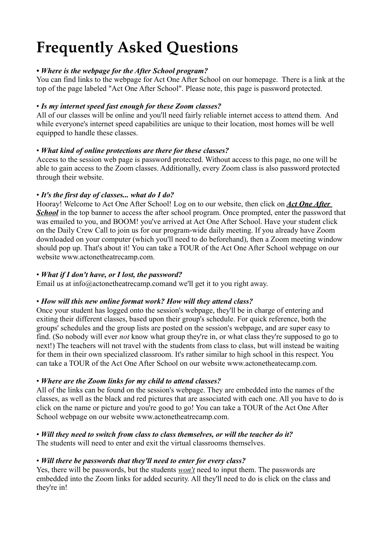### **Frequently Asked Questions**

#### *• Where is the webpage for the After School program?*

You can find links to the webpage for Act One After School on our homepage. There is a link at the top of the page labeled "Act One After School". Please note, this page is password protected.

#### • *Is my internet speed fast enough for these Zoom classes?*

All of our classes will be online and you'll need fairly reliable internet access to attend them. And while everyone's internet speed capabilities are unique to their location, most homes will be well equipped to handle these classes.

#### • *What kind of online protections are there for these classes?*

Access to the session web page is password protected. Without access to this page, no one will be able to gain access to the Zoom classes. Additionally, every Zoom class is also password protected through their website.

#### • *It's the first day of classes... what do I do?*

Hooray! Welcome to Act One After School! Log on to our website, then click on *Act One After*  **School** in the top banner to access the after school program. Once prompted, enter the password that was emailed to you, and BOOM! you've arrived at Act One After School. Have your student click on the Daily Crew Call to join us for our program-wide daily meeting. If you already have Zoom downloaded on your computer (which you'll need to do beforehand), then a Zoom meeting window should pop up. That's about it! You can take a TOUR of the Act One After School webpage on our website www.actonetheatrecamp.com.

#### • *What if I don't have, or I lost, the password?*

Email us at info@actonetheatrecamp.comand we'll get it to you right away.

#### • *How will this new online format work? How will they attend class?*

Once your student has logged onto the session's webpage, they'll be in charge of entering and exiting their different classes, based upon their group's schedule. For quick reference, both the groups' schedules and the group lists are posted on the session's webpage, and are super easy to find. (So nobody will ever *not* know what group they're in, or what class they're supposed to go to next!) The teachers will not travel with the students from class to class, but will instead be waiting for them in their own specialized classroom. It's rather similar to high school in this respect. You can take a TOUR of the Act One After School on our website www.actonetheatecamp.com.

#### • *Where are the Zoom links for my child to attend classes?*

All of the links can be found on the session's webpage. They are embedded into the names of the classes, as well as the black and red pictures that are associated with each one. All you have to do is click on the name or picture and you're good to go! You can take a TOUR of the Act One After School webpage on our website www.actonetheatrecamp.com.

#### • *Will they need to switch from class to class themselves, or will the teacher do it?*

The students will need to enter and exit the virtual classrooms themselves.

#### • *Will there be passwords that they'll need to enter for every class?*

Yes, there will be passwords, but the students *won't* need to input them. The passwords are embedded into the Zoom links for added security. All they'll need to do is click on the class and they're in!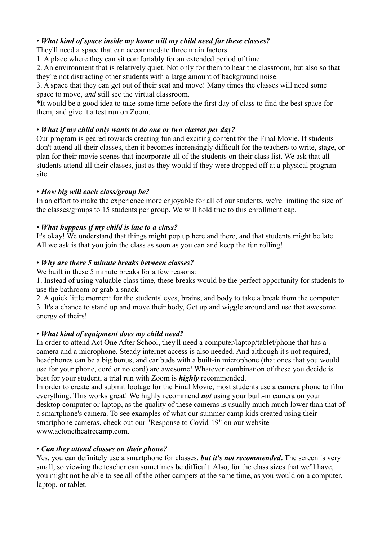#### • *What kind of space inside my home will my child need for these classes?*

They'll need a space that can accommodate three main factors:

1. A place where they can sit comfortably for an extended period of time

2. An environment that is relatively quiet. Not only for them to hear the classroom, but also so that they're not distracting other students with a large amount of background noise.

3. A space that they can get out of their seat and move! Many times the classes will need some space to move, *and* still see the virtual classroom.

\*It would be a good idea to take some time before the first day of class to find the best space for them, and give it a test run on Zoom.

#### • *What if my child only wants to do one or two classes per day?*

Our program is geared towards creating fun and exciting content for the Final Movie. If students don't attend all their classes, then it becomes increasingly difficult for the teachers to write, stage, or plan for their movie scenes that incorporate all of the students on their class list. We ask that all students attend all their classes, just as they would if they were dropped off at a physical program site.

#### • *How big will each class/group be?*

In an effort to make the experience more enjoyable for all of our students, we're limiting the size of the classes/groups to 15 students per group. We will hold true to this enrollment cap.

#### • *What happens if my child is late to a class?*

It's okay! We understand that things might pop up here and there, and that students might be late. All we ask is that you join the class as soon as you can and keep the fun rolling!

#### • *Why are there 5 minute breaks between classes?*

We built in these 5 minute breaks for a few reasons:

1. Instead of using valuable class time, these breaks would be the perfect opportunity for students to use the bathroom or grab a snack.

2. A quick little moment for the students' eyes, brains, and body to take a break from the computer. 3. It's a chance to stand up and move their body, Get up and wiggle around and use that awesome energy of theirs!

#### • *What kind of equipment does my child need?*

In order to attend Act One After School, they'll need a computer/laptop/tablet/phone that has a camera and a microphone. Steady internet access is also needed. And although it's not required, headphones can be a big bonus, and ear buds with a built-in microphone (that ones that you would use for your phone, cord or no cord) are awesome! Whatever combination of these you decide is best for your student, a trial run with Zoom is *highly* recommended.

In order to create and submit footage for the Final Movie, most students use a camera phone to film everything. This works great! We highly recommend *not* using your built-in camera on your desktop computer or laptop, as the quality of these cameras is usually much much lower than that of a smartphone's camera. To see examples of what our summer camp kids created using their smartphone cameras, check out our "Response to Covid-19" on our website www.actonetheatrecamp.com.

#### • *Can they attend classes on their phone?*

Yes, you can definitely use a smartphone for classes, *but it's not recommended***.** The screen is very small, so viewing the teacher can sometimes be difficult. Also, for the class sizes that we'll have, you might not be able to see all of the other campers at the same time, as you would on a computer, laptop, or tablet.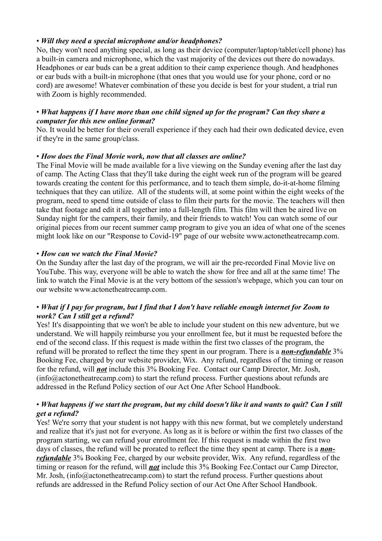#### • *Will they need a special microphone and/or headphones?*

No, they won't need anything special, as long as their device (computer/laptop/tablet/cell phone) has a built-in camera and microphone, which the vast majority of the devices out there do nowadays. Headphones or ear buds can be a great addition to their camp experience though. And headphones or ear buds with a built-in microphone (that ones that you would use for your phone, cord or no cord) are awesome! Whatever combination of these you decide is best for your student, a trial run with Zoom is highly recommended.

#### • *What happens if I have more than one child signed up for the program? Can they share a computer for this new online format?*

No. It would be better for their overall experience if they each had their own dedicated device, even if they're in the same group/class.

#### • *How does the Final Movie work, now that all classes are online?*

The Final Movie will be made available for a live viewing on the Sunday evening after the last day of camp. The Acting Class that they'll take during the eight week run of the program will be geared towards creating the content for this performance, and to teach them simple, do-it-at-home filming techniques that they can utilize. All of the students will, at some point within the eight weeks of the program, need to spend time outside of class to film their parts for the movie. The teachers will then take that footage and edit it all together into a full-length film. This film will then be aired live on Sunday night for the campers, their family, and their friends to watch! You can watch some of our original pieces from our recent summer camp program to give you an idea of what one of the scenes might look like on our "Response to Covid-19" page of our website www.actonetheatrecamp.com.

#### • *How can we watch the Final Movie?*

On the Sunday after the last day of the program, we will air the pre-recorded Final Movie live on YouTube. This way, everyone will be able to watch the show for free and all at the same time! The link to watch the Final Movie is at the very bottom of the session's webpage, which you can tour on our website www.actonetheatrecamp.com.

#### • *What if I pay for program, but I find that I don't have reliable enough internet for Zoom to work? Can I still get a refund?*

Yes! It's disappointing that we won't be able to include your student on this new adventure, but we understand. We will happily reimburse you your enrollment fee, but it must be requested before the end of the second class. If this request is made within the first two classes of the program, the refund will be prorated to reflect the time they spent in our program. There is a *non-refundable* 3% Booking Fee, charged by our website provider, Wix. Any refund, regardless of the timing or reason for the refund, will *not* include this 3% Booking Fee. Contact our Camp Director, Mr. Josh,  $(info@actone the at recamp.com)$  to start the refund process. Further questions about refunds are addressed in the Refund Policy section of our Act One After School Handbook.

#### • *What happens if we start the program, but my child doesn't like it and wants to quit? Can I still get a refund?*

Yes! We're sorry that your student is not happy with this new format, but we completely understand and realize that it's just not for everyone. As long as it is before or within the first two classes of the program starting, we can refund your enrollment fee. If this request is made within the first two days of classes, the refund will be prorated to reflect the time they spent at camp. There is a *nonrefundable* 3% Booking Fee, charged by our website provider, Wix. Any refund, regardless of the timing or reason for the refund, will *not* include this 3% Booking Fee.Contact our Camp Director, Mr. Josh, (info@actonetheatrecamp.com) to start the refund process. Further questions about refunds are addressed in the Refund Policy section of our Act One After School Handbook.